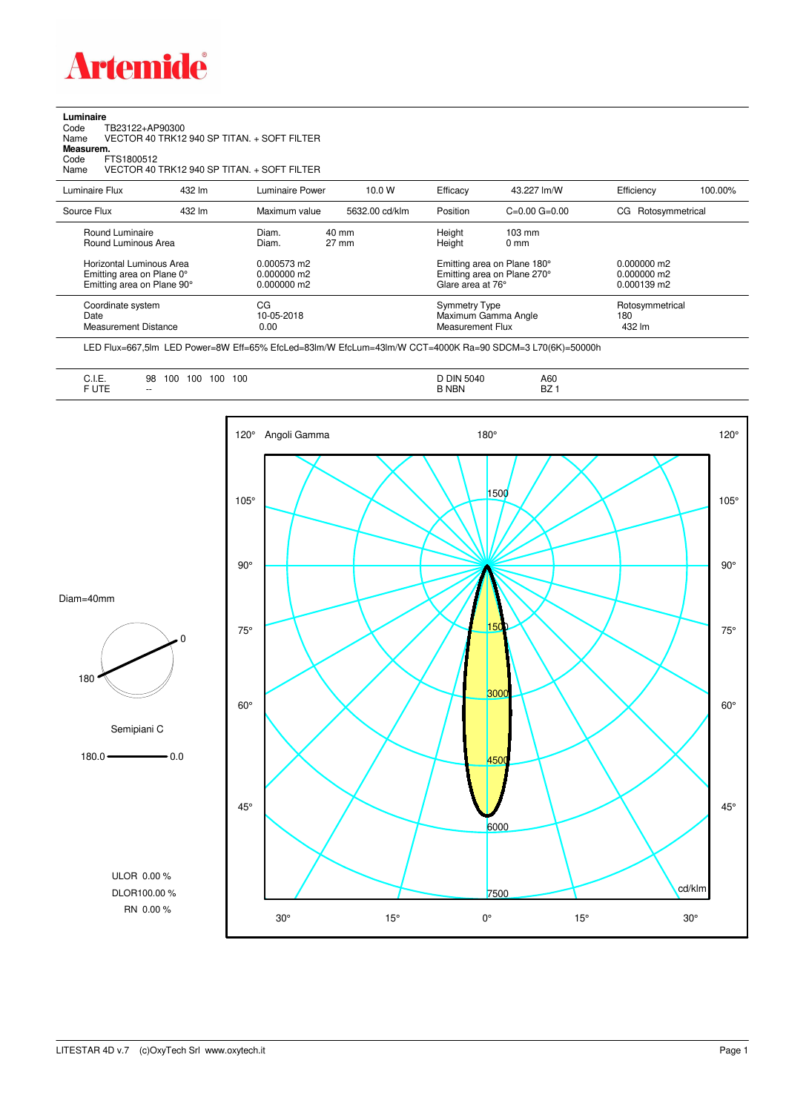

**Luminaire**

| Code<br>TB23122+AP90300<br>Name<br>Measurem.<br>Code<br>FTS1800512<br>Name          |        | VECTOR 40 TRK12 940 SP TITAN. + SOFT FILTER<br>VECTOR 40 TRK12 940 SP TITAN. + SOFT FILTER |                                    |                                                                                 |                                     |                                               |         |
|-------------------------------------------------------------------------------------|--------|--------------------------------------------------------------------------------------------|------------------------------------|---------------------------------------------------------------------------------|-------------------------------------|-----------------------------------------------|---------|
| Luminaire Flux                                                                      | 432 lm | Luminaire Power                                                                            | 10.0 W                             | Efficacy                                                                        | 43.227 lm/W                         | Efficiency                                    | 100.00% |
| Source Flux                                                                         | 432 lm | Maximum value                                                                              | 5632.00 cd/klm                     | Position                                                                        | $C=0.00$ $G=0.00$                   | Rotosymmetrical<br>CG.                        |         |
| Round Luminaire<br>Round Luminous Area                                              |        | Diam.<br>Diam.                                                                             | $40 \text{ mm}$<br>$27 \text{ mm}$ | Height<br>Height                                                                | $103 \text{ mm}$<br>0 <sub>mm</sub> |                                               |         |
| Horizontal Luminous Area<br>Emitting area on Plane 0°<br>Emitting area on Plane 90° |        | $0.000573$ m2<br>0.000000 m2<br>0.000000 m2                                                |                                    | Emitting area on Plane 180°<br>Emitting area on Plane 270°<br>Glare area at 76° |                                     | $0.000000$ m2<br>$0.000000$ m2<br>0.000139 m2 |         |
| Coordinate system<br>Date<br><b>Measurement Distance</b>                            |        | CG<br>10-05-2018<br>0.00                                                                   |                                    | <b>Symmetry Type</b><br>Maximum Gamma Angle<br><b>Measurement Flux</b>          |                                     | Rotosymmetrical<br>180<br>432 lm              |         |

LED Flux=667,5lm LED Power=8W Eff=65% EfcLed=83lm/W EfcLum=43lm/W CCT=4000K Ra=90 SDCM=3 L70(6K)=50000h